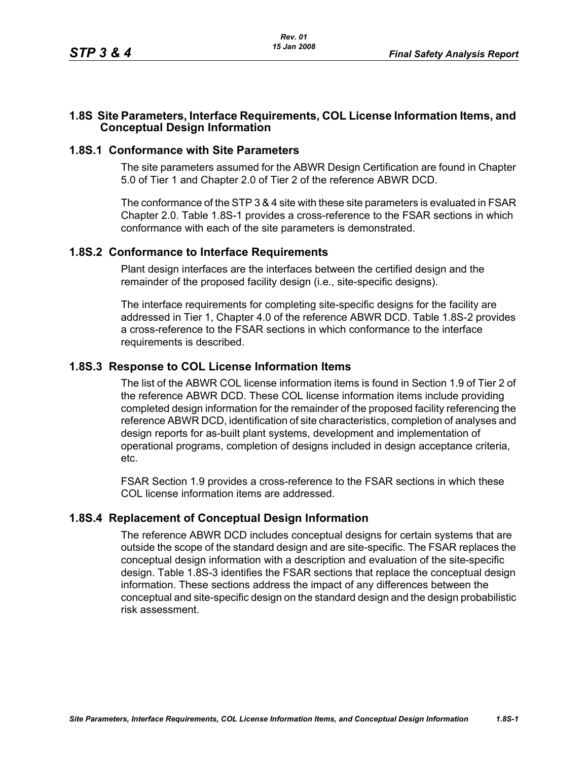## **1.8S Site Parameters, Interface Requirements, COL License Information Items, and Conceptual Design Information**

### **1.8S.1 Conformance with Site Parameters**

The site parameters assumed for the ABWR Design Certification are found in Chapter 5.0 of Tier 1 and Chapter 2.0 of Tier 2 of the reference ABWR DCD.

The conformance of the STP 3 & 4 site with these site parameters is evaluated in FSAR Chapter 2.0. Table [1.8S-1](#page-1-0) provides a cross-reference to the FSAR sections in which conformance with each of the site parameters is demonstrated.

#### **1.8S.2 Conformance to Interface Requirements**

Plant design interfaces are the interfaces between the certified design and the remainder of the proposed facility design (i.e., site-specific designs).

The interface requirements for completing site-specific designs for the facility are addressed in Tier 1, Chapter 4.0 of the reference ABWR DCD. Table [1.8S-2](#page-2-0) provides a cross-reference to the FSAR sections in which conformance to the interface requirements is described.

## **1.8S.3 Response to COL License Information Items**

The list of the ABWR COL license information items is found in Section 1.9 of Tier 2 of the reference ABWR DCD. These COL license information items include providing completed design information for the remainder of the proposed facility referencing the reference ABWR DCD, identification of site characteristics, completion of analyses and design reports for as-built plant systems, development and implementation of operational programs, completion of designs included in design acceptance criteria, etc.

FSAR Section 1.9 provides a cross-reference to the FSAR sections in which these COL license information items are addressed.

### **1.8S.4 Replacement of Conceptual Design Information**

The reference ABWR DCD includes conceptual designs for certain systems that are outside the scope of the standard design and are site-specific. The FSAR replaces the conceptual design information with a description and evaluation of the site-specific design. Table [1.8S-3](#page-3-0) identifies the FSAR sections that replace the conceptual design information. These sections address the impact of any differences between the conceptual and site-specific design on the standard design and the design probabilistic risk assessment.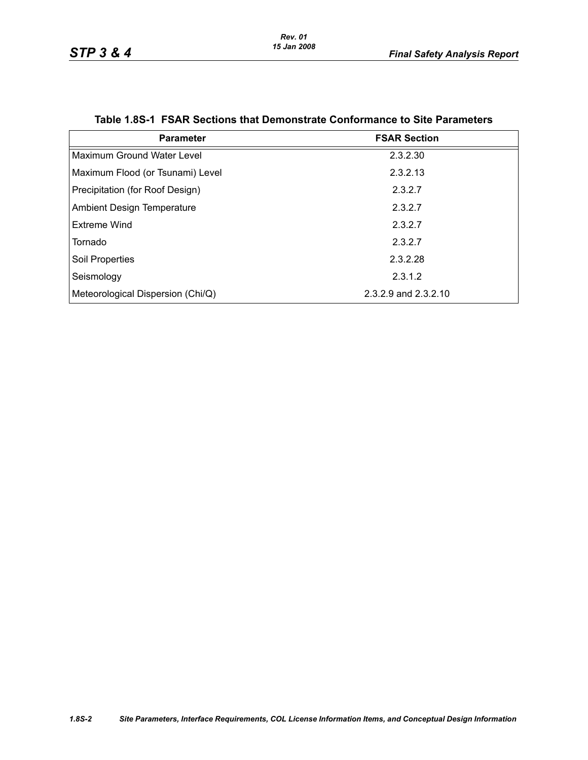<span id="page-1-0"></span>

| <b>Parameter</b>                  | <b>FSAR Section</b>  |
|-----------------------------------|----------------------|
| Maximum Ground Water Level        | 2.3.2.30             |
| Maximum Flood (or Tsunami) Level  | 2.3.2.13             |
| Precipitation (for Roof Design)   | 2.3.2.7              |
| <b>Ambient Design Temperature</b> | 2.3.2.7              |
| Extreme Wind                      | 2.3.2.7              |
| Tornado                           | 2.3.2.7              |
| Soil Properties                   | 2.3.2.28             |
| Seismology                        | 2.3.1.2              |
| Meteorological Dispersion (Chi/Q) | 2.3.2.9 and 2.3.2.10 |

#### **Table 1.8S-1 FSAR Sections that Demonstrate Conformance to Site Parameters**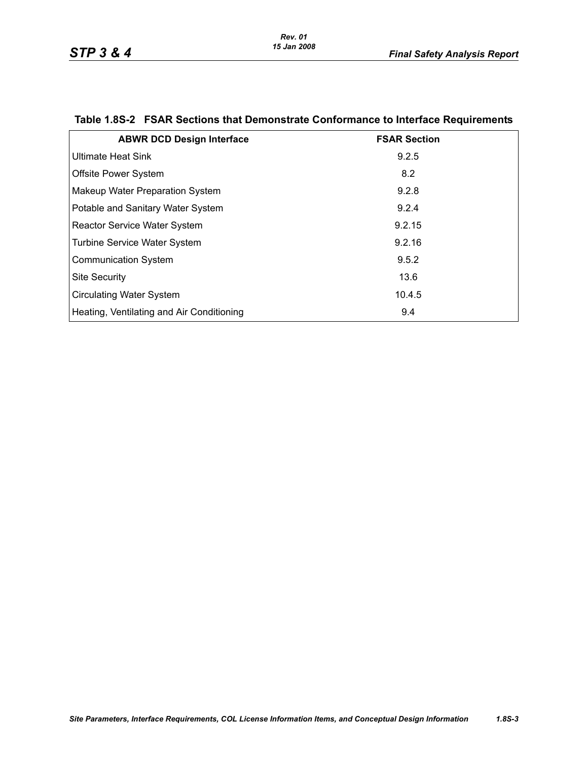| <b>ABWR DCD Design Interface</b>          | <b>FSAR Section</b> |
|-------------------------------------------|---------------------|
| <b>Ultimate Heat Sink</b>                 | 9.2.5               |
| <b>Offsite Power System</b>               | 8.2                 |
| Makeup Water Preparation System           | 9.2.8               |
| Potable and Sanitary Water System         | 9.2.4               |
| <b>Reactor Service Water System</b>       | 9.2.15              |
| Turbine Service Water System              | 9.2.16              |
| <b>Communication System</b>               | 9.5.2               |
| <b>Site Security</b>                      | 13.6                |
| <b>Circulating Water System</b>           | 10.4.5              |
| Heating, Ventilating and Air Conditioning | 9.4                 |

# <span id="page-2-0"></span>**Table 1.8S-2 FSAR Sections that Demonstrate Conformance to Interface Requirements**